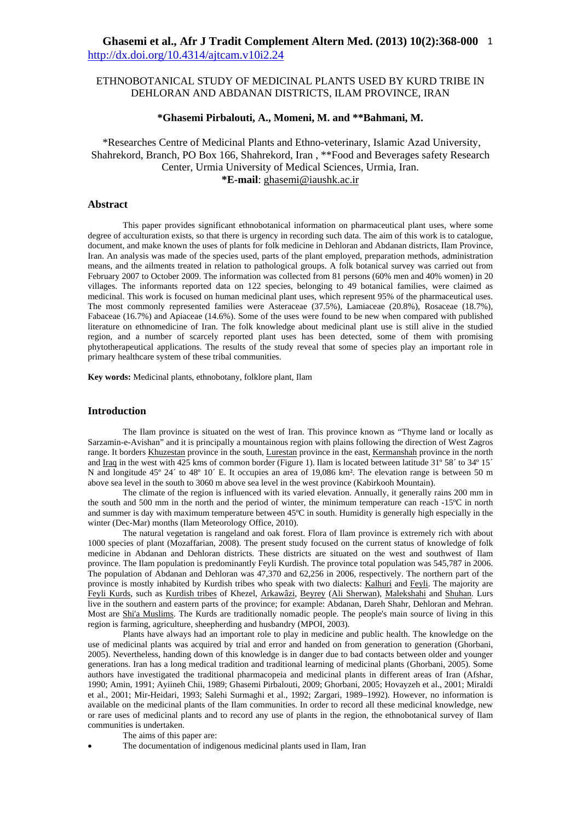# ETHNOBOTANICAL STUDY OF MEDICINAL PLANTS USED BY KURD TRIBE IN DEHLORAN AND ABDANAN DISTRICTS, ILAM PROVINCE, IRAN

## **\*Ghasemi Pirbalouti, A., Momeni, M. and \*\*Bahmani, M.**

 \*Researches Centre of Medicinal Plants and Ethno-veterinary, Islamic Azad University, Shahrekord, Branch, PO Box 166, Shahrekord, Iran , \*\*Food and Beverages safety Research Center, Urmia University of Medical Sciences, Urmia, Iran. **\*E-mail**: ghasemi@iaushk.ac.ir

# **Abstract**

This paper provides significant ethnobotanical information on pharmaceutical plant uses, where some degree of acculturation exists, so that there is urgency in recording such data. The aim of this work is to catalogue, document, and make known the uses of plants for folk medicine in Dehloran and Abdanan districts, Ilam Province, Iran. An analysis was made of the species used, parts of the plant employed, preparation methods, administration means, and the ailments treated in relation to pathological groups. A folk botanical survey was carried out from February 2007 to October 2009. The information was collected from 81 persons (60% men and 40% women) in 20 villages. The informants reported data on 122 species, belonging to 49 botanical families, were claimed as medicinal. This work is focused on human medicinal plant uses, which represent 95% of the pharmaceutical uses. The most commonly represented families were Asteraceae (37.5%), Lamiaceae (20.8%), Rosaceae (18.7%), Fabaceae (16.7%) and Apiaceae (14.6%). Some of the uses were found to be new when compared with published literature on ethnomedicine of Iran. The folk knowledge about medicinal plant use is still alive in the studied region, and a number of scarcely reported plant uses has been detected, some of them with promising phytotherapeutical applications. The results of the study reveal that some of species play an important role in primary healthcare system of these tribal communities.

**Key words:** Medicinal plants, ethnobotany, folklore plant, Ilam

### **Introduction**

The Ilam province is situated on the west of Iran. This province known as "Thyme land or locally as Sarzamin-e-Avishan" and it is principally a mountainous region with plains following the direction of West Zagros range. It borders Khuzestan province in the south, Lurestan province in the east, Kermanshah province in the north and Iraq in the west with 425 kms of common border (Figure 1). Ilam is located between latitude 31º 58´ to 34º 15´ N and longitude 45º 24´ to 48º 10´ E. It occupies an area of 19,086 km². The elevation range is between 50 m above sea level in the south to 3060 m above sea level in the west province (Kabirkooh Mountain).

The climate of the region is influenced with its varied elevation. Annually, it generally rains 200 mm in the south and 500 mm in the north and the period of winter, the minimum temperature can reach -15ºC in north and summer is day with maximum temperature between 45ºC in south. Humidity is generally high especially in the winter (Dec-Mar) months (Ilam Meteorology Office, 2010).

The natural vegetation is rangeland and oak forest. Flora of Ilam province is extremely rich with about 1000 species of plant (Mozaffarian, 2008). The present study focused on the current status of knowledge of folk medicine in Abdanan and Dehloran districts. These districts are situated on the west and southwest of Ilam province. The Ilam population is predominantly Feyli Kurdish. The province total population was 545,787 in 2006. The population of Abdanan and Dehloran was 47,370 and 62,256 in 2006, respectively. The northern part of the province is mostly inhabited by Kurdish tribes who speak with two dialects: Kalhuri and Feyli. The majority are Feyli Kurds, such as Kurdish tribes of Khezel, Arkawâzi, Beyrey (Ali Sherwan), Malekshahi and Shuhan. Lurs live in the southern and eastern parts of the province; for example: Abdanan, Dareh Shahr, Dehloran and Mehran. Most are Shi'a Muslims. The Kurds are traditionally nomadic people. The people's main source of living in this region is farming, agriculture, sheepherding and husbandry (MPOI, 2003).

Plants have always had an important role to play in medicine and public health. The knowledge on the use of medicinal plants was acquired by trial and error and handed on from generation to generation (Ghorbani, 2005). Nevertheless, handing down of this knowledge is in danger due to bad contacts between older and younger generations. Iran has a long medical tradition and traditional learning of medicinal plants (Ghorbani, 2005). Some authors have investigated the traditional pharmacopeia and medicinal plants in different areas of Iran (Afshar, 1990; Amin, 1991; Ayiineh Chii, 1989; Ghasemi Pirbalouti, 2009; Ghorbani, 2005; Hovayzeh et al., 2001; Miraldi et al., 2001; Mir-Heidari, 1993; Salehi Surmaghi et al., 1992; Zargari, 1989–1992). However, no information is available on the medicinal plants of the Ilam communities. In order to record all these medicinal knowledge, new or rare uses of medicinal plants and to record any use of plants in the region, the ethnobotanical survey of Ilam communities is undertaken.

The aims of this paper are:

The documentation of indigenous medicinal plants used in Ilam, Iran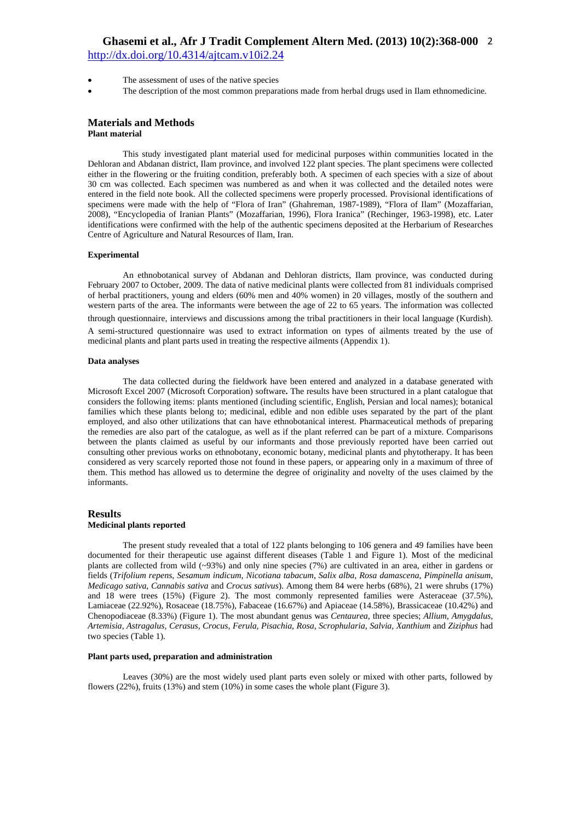# **Ghasemi et al., Afr J Tradit Complement Altern Med. (2013) 10(2):368-000** 2

http://dx.doi.org/10.4314/ajtcam.v10i2.24

- The assessment of uses of the native species
- The description of the most common preparations made from herbal drugs used in Ilam ethnomedicine.

## **Materials and Methods Plant material**

This study investigated plant material used for medicinal purposes within communities located in the Dehloran and Abdanan district, Ilam province, and involved 122 plant species. The plant specimens were collected either in the flowering or the fruiting condition, preferably both. A specimen of each species with a size of about 30 cm was collected. Each specimen was numbered as and when it was collected and the detailed notes were entered in the field note book. All the collected specimens were properly processed. Provisional identifications of specimens were made with the help of "Flora of Iran" (Ghahreman, 1987-1989), "Flora of Ilam" (Mozaffarian, 2008), "Encyclopedia of Iranian Plants" (Mozaffarian, 1996), Flora Iranica" (Rechinger, 1963-1998), etc. Later identifications were confirmed with the help of the authentic specimens deposited at the Herbarium of Researches Centre of Agriculture and Natural Resources of Ilam, Iran.

#### **Experimental**

An ethnobotanical survey of Abdanan and Dehloran districts, Ilam province, was conducted during February 2007 to October, 2009. The data of native medicinal plants were collected from 81 individuals comprised of herbal practitioners, young and elders (60% men and 40% women) in 20 villages, mostly of the southern and western parts of the area. The informants were between the age of 22 to 65 years. The information was collected through questionnaire, interviews and discussions among the tribal practitioners in their local language (Kurdish). A semi-structured questionnaire was used to extract information on types of ailments treated by the use of medicinal plants and plant parts used in treating the respective ailments (Appendix 1).

#### **Data analyses**

The data collected during the fieldwork have been entered and analyzed in a database generated with Microsoft Excel 2007 (Microsoft Corporation) software**.** The results have been structured in a plant catalogue that considers the following items: plants mentioned (including scientific, English, Persian and local names); botanical families which these plants belong to; medicinal, edible and non edible uses separated by the part of the plant employed, and also other utilizations that can have ethnobotanical interest. Pharmaceutical methods of preparing the remedies are also part of the catalogue, as well as if the plant referred can be part of a mixture. Comparisons between the plants claimed as useful by our informants and those previously reported have been carried out consulting other previous works on ethnobotany, economic botany, medicinal plants and phytotherapy. It has been considered as very scarcely reported those not found in these papers, or appearing only in a maximum of three of them. This method has allowed us to determine the degree of originality and novelty of the uses claimed by the informants.

# **Results**

#### **Medicinal plants reported**

The present study revealed that a total of 122 plants belonging to 106 genera and 49 families have been documented for their therapeutic use against different diseases (Table 1 and Figure 1). Most of the medicinal plants are collected from wild (~93%) and only nine species (7%) are cultivated in an area, either in gardens or fields (*Trifolium repens*, *Sesamum indicum*, *Nicotiana tabacum*, *Salix alba*, *Rosa damascena*, *Pimpinella anisum*, *Medicago sativa*, *Cannabis sativa* and *Crocus sativus*). Among them 84 were herbs (68%), 21 were shrubs (17%) and 18 were trees (15%) (Figure 2). The most commonly represented families were Asteraceae (37.5%), Lamiaceae (22.92%), Rosaceae (18.75%), Fabaceae (16.67%) and Apiaceae (14.58%), Brassicaceae (10.42%) and Chenopodiaceae (8.33%) (Figure 1). The most abundant genus was *Centaurea*, three species; *Allium*, *Amygdalus*, *Artemisia, Astragalus, Cerasus, Crocus, Ferula, Pisachia, Rosa, Scrophularia, Salvia, Xanthium* and *Ziziphus* had two species (Table 1).

#### **Plant parts used, preparation and administration**

Leaves (30%) are the most widely used plant parts even solely or mixed with other parts, followed by flowers (22%), fruits (13%) and stem (10%) in some cases the whole plant (Figure 3).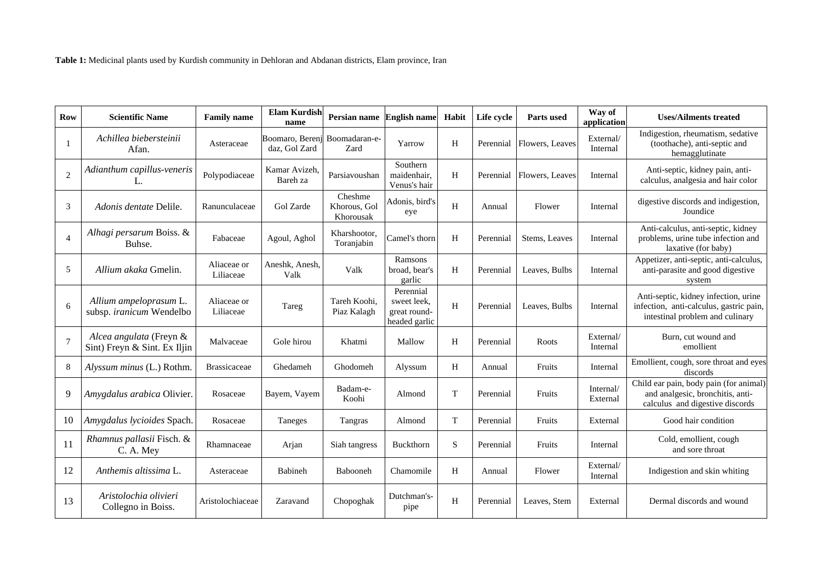| <b>Row</b>      | <b>Scientific Name</b>                                  | <b>Family name</b>       | <b>Elam Kurdish</b><br>name     | Persian name                         | <b>English name</b>                                       | Habit | Life cycle | Parts used      | Way of<br>application | <b>Uses/Ailments treated</b>                                                                                       |
|-----------------|---------------------------------------------------------|--------------------------|---------------------------------|--------------------------------------|-----------------------------------------------------------|-------|------------|-----------------|-----------------------|--------------------------------------------------------------------------------------------------------------------|
| $\mathbf{1}$    | Achillea biebersteinii<br>Afan.                         | Asteraceae               | Boomaro, Beren<br>daz, Gol Zard | Boomadaran-e-<br>Zard                | Yarrow                                                    | H     | Perennial  | Flowers, Leaves | External/<br>Internal | Indigestion, rheumatism, sedative<br>(toothache), anti-septic and<br>hemagglutinate                                |
| 2               | Adianthum capillus-veneris<br>L.                        | Polypodiaceae            | Kamar Avizeh.<br>Bareh za       | Parsiavoushan                        | Southern<br>maidenhair.<br>Venus's hair                   | H     | Perennial  | Flowers, Leaves | Internal              | Anti-septic, kidney pain, anti-<br>calculus, analgesia and hair color                                              |
| 3               | Adonis dentate Delile.                                  | Ranunculaceae            | Gol Zarde                       | Cheshme<br>Khorous, Gol<br>Khorousak | Adonis, bird's<br>eye                                     | H     | Annual     | Flower          | Internal              | digestive discords and indigestion,<br>Joundice                                                                    |
| $\overline{4}$  | Alhagi persarum Boiss. &<br>Buhse.                      | Fabaceae                 | Agoul, Aghol                    | Kharshootor,<br>Toranjabin           | Camel's thorn                                             | H     | Perennial  | Stems, Leaves   | Internal              | Anti-calculus, anti-septic, kidney<br>problems, urine tube infection and<br>laxative (for baby)                    |
| 5               | Allium akaka Gmelin.                                    | Aliaceae or<br>Liliaceae | Aneshk, Anesh,<br>Valk          | Valk                                 | Ramsons<br>broad, bear's<br>garlic                        | H     | Perennial  | Leaves, Bulbs   | Internal              | Appetizer, anti-septic, anti-calculus,<br>anti-parasite and good digestive<br>system                               |
| 6               | Allium ampeloprasum L.<br>subsp. iranicum Wendelbo      | Aliaceae or<br>Liliaceae | Tareg                           | Tareh Koohi,<br>Piaz Kalagh          | Perennial<br>sweet leek,<br>great round-<br>headed garlic | H     | Perennial  | Leaves, Bulbs   | Internal              | Anti-septic, kidney infection, urine<br>infection, anti-calculus, gastric pain,<br>intestinal problem and culinary |
| $7\phantom{.0}$ | Alcea angulata (Freyn &<br>Sint) Freyn & Sint. Ex Iljin | Malvaceae                | Gole hirou                      | Khatmi                               | Mallow                                                    | H     | Perennial  | Roots           | External/<br>Internal | Burn, cut wound and<br>emollient                                                                                   |
| 8               | Alyssum minus (L.) Rothm.                               | <b>Brassicaceae</b>      | Ghedameh                        | Ghodomeh                             | Alyssum                                                   | H     | Annual     | Fruits          | Internal              | Emollient, cough, sore throat and eyes<br>discords                                                                 |
| 9               | Amygdalus arabica Olivier.                              | Rosaceae                 | Bayem, Vayem                    | Badam-e-<br>Koohi                    | Almond                                                    | T     | Perennial  | Fruits          | Internal/<br>External | Child ear pain, body pain (for animal)<br>and analgesic, bronchitis, anti-<br>calculus and digestive discords      |
| 10              | Amygdalus lycioides Spach.                              | Rosaceae                 | Taneges                         | Tangras                              | Almond                                                    | T     | Perennial  | Fruits          | External              | Good hair condition                                                                                                |
| 11              | Rhamnus pallasii Fisch. &<br>C. A. Mey                  | Rhamnaceae               | Arjan                           | Siah tangress                        | Buckthorn                                                 | S     | Perennial  | Fruits          | Internal              | Cold, emollient, cough<br>and sore throat                                                                          |
| 12              | Anthemis altissima L.                                   | Asteraceae               | Babineh                         | Babooneh                             | Chamomile                                                 | H     | Annual     | Flower          | External/<br>Internal | Indigestion and skin whiting                                                                                       |
| 13              | Aristolochia olivieri<br>Collegno in Boiss.             | Aristolochiaceae         | Zaravand                        | Chopoghak                            | Dutchman's-<br>pipe                                       | H     | Perennial  | Leaves, Stem    | External              | Dermal discords and wound                                                                                          |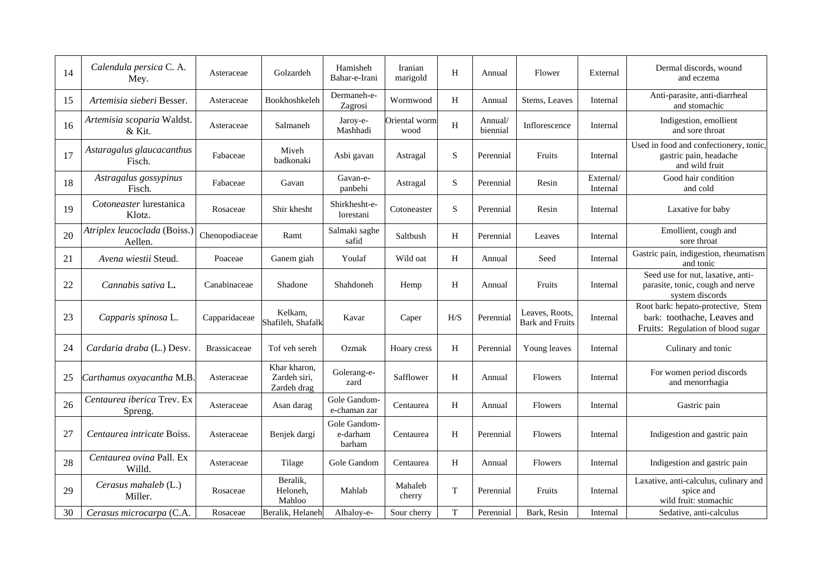| 14 | Calendula persica C. A.<br>Mey.         | Asteraceae          | Golzardeh                                   | Hamisheh<br>Bahar-e-Irani          | Iranian<br>marigold   | H           | Annual              | Flower                                   | External              | Dermal discords, wound<br>and eczema                                                                   |
|----|-----------------------------------------|---------------------|---------------------------------------------|------------------------------------|-----------------------|-------------|---------------------|------------------------------------------|-----------------------|--------------------------------------------------------------------------------------------------------|
| 15 | Artemisia sieberi Besser.               | Asteraceae          | Bookhoshkeleh                               | Dermaneh-e-<br>Zagrosi             | Wormwood              | H           | Annual              | Stems, Leaves                            | Internal              | Anti-parasite, anti-diarrheal<br>and stomachic                                                         |
| 16 | Artemisia scoparia Waldst.<br>& Kit.    | Asteraceae          | Salmaneh                                    | Jaroy-e-<br>Mashhadi               | Oriental worm<br>wood | H           | Annual/<br>biennial | Inflorescence                            | Internal              | Indigestion, emollient<br>and sore throat                                                              |
| 17 | Astaragalus glaucacanthus<br>Fisch.     | Fabaceae            | Miveh<br>badkonaki                          | Asbi gavan                         | Astragal              | S           | Perennial           | Fruits                                   | Internal              | Used in food and confectionery, tonic,<br>gastric pain, headache<br>and wild fruit                     |
| 18 | Astragalus gossypinus<br>Fisch.         | Fabaceae            | Gavan                                       | Gavan-e-<br>panbehi                | Astragal              | S           | Perennial           | Resin                                    | External/<br>Internal | Good hair condition<br>and cold                                                                        |
| 19 | Cotoneaster lurestanica<br>Klotz.       | Rosaceae            | Shir khesht                                 | Shirkhesht-e-<br>lorestani         | Cotoneaster           | ${\bf S}$   | Perennial           | Resin                                    | Internal              | Laxative for baby                                                                                      |
| 20 | Atriplex leucoclada (Boiss.)<br>Aellen. | Chenopodiaceae      | Ramt                                        | Salmaki saghe<br>safid             | Saltbush              | H           | Perennial           | Leaves                                   | Internal              | Emollient, cough and<br>sore throat                                                                    |
| 21 | Avena wiestii Steud.                    | Poaceae             | Ganem giah                                  | Youlaf                             | Wild oat              | H           | Annual              | Seed                                     | Internal              | Gastric pain, indigestion, rheumatism<br>and tonic                                                     |
| 22 | Cannabis sativa L.                      | Canabinaceae        | Shadone                                     | Shahdoneh                          | Hemp                  | H           | Annual              | Fruits                                   | Internal              | Seed use for nut, laxative, anti-<br>parasite, tonic, cough and nerve<br>system discords               |
| 23 | Capparis spinosa L.                     | Capparidaceae       | Kelkam,<br>Shafileh, Shafalk                | Kavar                              | Caper                 | H/S         | Perennial           | Leaves, Roots,<br><b>Bark and Fruits</b> | Internal              | Root bark: hepato-protective, Stem<br>bark: toothache, Leaves and<br>Fruits: Regulation of blood sugar |
| 24 | Cardaria draba (L.) Desv.               | <b>Brassicaceae</b> | Tof veh sereh                               | Ozmak                              | Hoary cress           | H           | Perennial           | Young leaves                             | Internal              | Culinary and tonic                                                                                     |
| 25 | Carthamus oxyacantha M.B.               | Asteraceae          | Khar kharon,<br>Zardeh siri,<br>Zardeh drag | Golerang-e-<br>zard                | Safflower             | H           | Annual              | Flowers                                  | Internal              | For women period discords<br>and menorrhagia                                                           |
| 26 | Centaurea iberica Trev. Ex<br>Spreng.   | Asteraceae          | Asan darag                                  | Gole Gandom-<br>e-chaman zar       | Centaurea             | H           | Annual              | Flowers                                  | Internal              | Gastric pain                                                                                           |
| 27 | Centaurea intricate Boiss.              | Asteraceae          | Benjek dargi                                | Gole Gandom-<br>e-darham<br>barham | Centaurea             | H           | Perennial           | <b>Flowers</b>                           | Internal              | Indigestion and gastric pain                                                                           |
| 28 | Centaurea ovina Pall. Ex<br>Willd.      | Asteraceae          | Tilage                                      | Gole Gandom                        | Centaurea             | H           | Annual              | Flowers                                  | Internal              | Indigestion and gastric pain                                                                           |
| 29 | Cerasus mahaleb (L.)<br>Miller.         | Rosaceae            | Beralik,<br>Heloneh,<br>Mahloo              | Mahlab                             | Mahaleb<br>cherry     | $\mathbf T$ | Perennial           | Fruits                                   | Internal              | Laxative, anti-calculus, culinary and<br>spice and<br>wild fruit: stomachic                            |
| 30 | Cerasus microcarpa (C.A.                | Rosaceae            | Beralik, Helaneh                            | Albaloy-e-                         | Sour cherry           | $\mathbf T$ | Perennial           | Bark, Resin                              | Internal              | Sedative, anti-calculus                                                                                |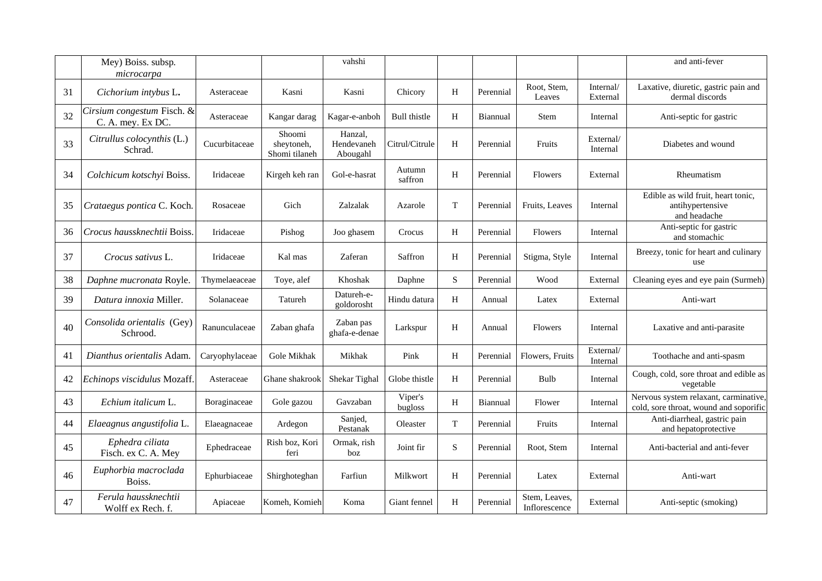|    | Mey) Boiss. subsp.<br>microcarpa                |                |                                       | vahshi                            |                    |           |           |                                |                       | and anti-fever                                                                  |
|----|-------------------------------------------------|----------------|---------------------------------------|-----------------------------------|--------------------|-----------|-----------|--------------------------------|-----------------------|---------------------------------------------------------------------------------|
| 31 | Cichorium intybus L.                            | Asteraceae     | Kasni                                 | Kasni                             | Chicory            | H         | Perennial | Root, Stem,<br>Leaves          | Internal/<br>External | Laxative, diuretic, gastric pain and<br>dermal discords                         |
| 32 | Cirsium congestum Fisch. &<br>C. A. mey. Ex DC. | Asteraceae     | Kangar darag                          | Kagar-e-anboh                     | Bull thistle       | H         | Biannual  | Stem                           | Internal              | Anti-septic for gastric                                                         |
| 33 | Citrullus colocynthis (L.)<br>Schrad.           | Cucurbitaceae  | Shoomi<br>sheytoneh,<br>Shomi tilaneh | Hanzal.<br>Hendevaneh<br>Abougahl | Citrul/Citrule     | H         | Perennial | Fruits                         | External/<br>Internal | Diabetes and wound                                                              |
| 34 | Colchicum kotschyi Boiss.                       | Iridaceae      | Kirgeh keh ran                        | Gol-e-hasrat                      | Autumn<br>saffron  | H         | Perennial | <b>Flowers</b>                 | External              | Rheumatism                                                                      |
| 35 | Crataegus pontica C. Koch.                      | Rosaceae       | Gich                                  | Zalzalak                          | Azarole            | T         | Perennial | Fruits, Leaves                 | Internal              | Edible as wild fruit, heart tonic,<br>antihypertensive<br>and headache          |
| 36 | Crocus haussknechtii Boiss.                     | Iridaceae      | Pishog                                | Joo ghasem                        | Crocus             | H         | Perennial | Flowers                        | Internal              | Anti-septic for gastric<br>and stomachic                                        |
| 37 | Crocus sativus L.                               | Iridaceae      | Kal mas                               | Zaferan                           | Saffron            | H         | Perennial | Stigma, Style                  | Internal              | Breezy, tonic for heart and culinary<br>use                                     |
| 38 | Daphne mucronata Royle.                         | Thymelaeaceae  | Toye, alef                            | Khoshak                           | Daphne             | ${\bf S}$ | Perennial | Wood                           | External              | Cleaning eyes and eye pain (Surmeh)                                             |
| 39 | Datura innoxia Miller.                          | Solanaceae     | Tatureh                               | Datureh-e-<br>goldorosht          | Hindu datura       | H         | Annual    | Latex                          | External              | Anti-wart                                                                       |
| 40 | Consolida orientalis (Gey)<br>Schrood.          | Ranunculaceae  | Zaban ghafa                           | Zaban pas<br>ghafa-e-denae        | Larkspur           | H         | Annual    | Flowers                        | Internal              | Laxative and anti-parasite                                                      |
| 41 | Dianthus orientalis Adam.                       | Caryophylaceae | Gole Mikhak                           | Mikhak                            | Pink               | H         | Perennial | Flowers, Fruits                | External/<br>Internal | Toothache and anti-spasm                                                        |
| 42 | Echinops viscidulus Mozaff.                     | Asteraceae     | Ghane shakrook                        | Shekar Tighal                     | Globe thistle      | H         | Perennial | Bulb                           | Internal              | Cough, cold, sore throat and edible as<br>vegetable                             |
| 43 | Echium italicum L.                              | Boraginaceae   | Gole gazou                            | Gavzaban                          | Viper's<br>bugloss | H         | Biannual  | Flower                         | Internal              | Nervous system relaxant, carminative,<br>cold, sore throat, wound and soporific |
| 44 | Elaeagnus angustifolia L.                       | Elaeagnaceae   | Ardegon                               | Sanjed,<br>Pestanak               | Oleaster           | T         | Perennial | Fruits                         | Internal              | Anti-diarrheal, gastric pain<br>and hepatoprotective                            |
| 45 | Ephedra ciliata<br>Fisch. ex C. A. Mey          | Ephedraceae    | Rish boz, Kori<br>feri                | Ormak, rish<br>boz                | Joint fir          | S         | Perennial | Root, Stem                     | Internal              | Anti-bacterial and anti-fever                                                   |
| 46 | Euphorbia macroclada<br>Boiss.                  | Ephurbiaceae   | Shirghoteghan                         | Farfiun                           | Milkwort           | H         | Perennial | Latex                          | External              | Anti-wart                                                                       |
| 47 | Ferula haussknechtii<br>Wolff ex Rech. f.       | Apiaceae       | Komeh, Komieh                         | Koma                              | Giant fennel       | H         | Perennial | Stem, Leaves,<br>Inflorescence | External              | Anti-septic (smoking)                                                           |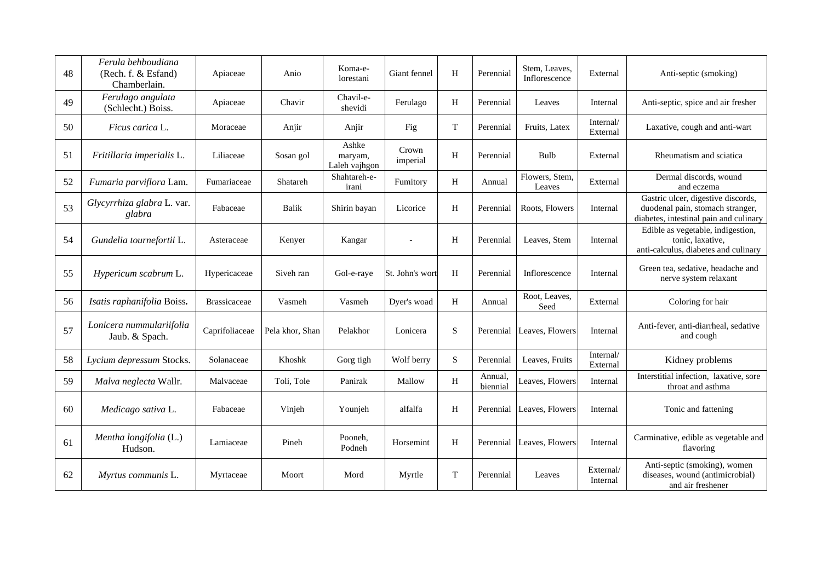| 48 | Ferula behboudiana<br>(Rech. f. & Esfand)<br>Chamberlain. | Apiaceae            | Anio            | Koma-e-<br>lorestani              | Giant fennel      | H           | Perennial           | Stem, Leaves,<br>Inflorescence | External              | Anti-septic (smoking)                                                                                            |
|----|-----------------------------------------------------------|---------------------|-----------------|-----------------------------------|-------------------|-------------|---------------------|--------------------------------|-----------------------|------------------------------------------------------------------------------------------------------------------|
| 49 | Ferulago angulata<br>(Schlecht.) Boiss.                   | Apiaceae            | Chavir          | Chavil-e-<br>shevidi              | Ferulago          | H           | Perennial           | Leaves                         | Internal              | Anti-septic, spice and air fresher                                                                               |
| 50 | Ficus carica L.                                           | Moraceae            | Anjir           | Anjir                             | Fig               | T           | Perennial           | Fruits, Latex                  | Internal/<br>External | Laxative, cough and anti-wart                                                                                    |
| 51 | Fritillaria imperialis L.                                 | Liliaceae           | Sosan gol       | Ashke<br>maryam,<br>Laleh vajhgon | Crown<br>imperial | H           | Perennial           | Bulb                           | External              | Rheumatism and sciatica                                                                                          |
| 52 | Fumaria parviflora Lam.                                   | Fumariaceae         | Shatareh        | Shahtareh-e-<br>irani             | Fumitory          | H           | Annual              | Flowers, Stem,<br>Leaves       | External              | Dermal discords, wound<br>and eczema                                                                             |
| 53 | Glycyrrhiza glabra L. var.<br>glabra                      | Fabaceae            | Balik           | Shirin bayan                      | Licorice          | H           | Perennial           | Roots, Flowers                 | Internal              | Gastric ulcer, digestive discords,<br>duodenal pain, stomach stranger,<br>diabetes, intestinal pain and culinary |
| 54 | Gundelia tournefortii L.                                  | Asteraceae          | Kenyer          | Kangar                            |                   | H           | Perennial           | Leaves, Stem                   | Internal              | Edible as vegetable, indigestion,<br>tonic, laxative,<br>anti-calculus, diabetes and culinary                    |
| 55 | Hypericum scabrum L.                                      | Hypericaceae        | Siveh ran       | Gol-e-raye                        | St. John's wort   | H           | Perennial           | Inflorescence                  | Internal              | Green tea, sedative, headache and<br>nerve system relaxant                                                       |
| 56 | Isatis raphanifolia Boiss.                                | <b>Brassicaceae</b> | Vasmeh          | Vasmeh                            | Dyer's woad       | H           | Annual              | Root, Leaves,<br>Seed          | External              | Coloring for hair                                                                                                |
| 57 | Lonicera nummulariifolia<br>Jaub. & Spach.                | Caprifoliaceae      | Pela khor, Shan | Pelakhor                          | Lonicera          | S           | Perennial           | Leaves, Flowers                | Internal              | Anti-fever, anti-diarrheal, sedative<br>and cough                                                                |
| 58 | Lycium depressum Stocks.                                  | Solanaceae          | Khoshk          | Gorg tigh                         | Wolf berry        | S           | Perennial           | Leaves, Fruits                 | Internal/<br>External | Kidney problems                                                                                                  |
| 59 | Malva neglecta Wallr.                                     | Malvaceae           | Toli, Tole      | Panirak                           | Mallow            | H           | Annual,<br>biennial | Leaves, Flowers                | Internal              | Interstitial infection, laxative, sore<br>throat and asthma                                                      |
| 60 | Medicago sativa L.                                        | Fabaceae            | Vinjeh          | Younjeh                           | alfalfa           | H           | Perennial           | Leaves, Flowers                | Internal              | Tonic and fattening                                                                                              |
| 61 | Mentha longifolia (L.)<br>Hudson.                         | Lamiaceae           | Pineh           | Pooneh,<br>Podneh                 | Horsemint         | H           |                     | Perennial Leaves, Flowers      | Internal              | Carminative, edible as vegetable and<br>flavoring                                                                |
| 62 | Myrtus communis L.                                        | Myrtaceae           | Moort           | Mord                              | Myrtle            | $\mathbf T$ | Perennial           | Leaves                         | External/<br>Internal | Anti-septic (smoking), women<br>diseases, wound (antimicrobial)<br>and air freshener                             |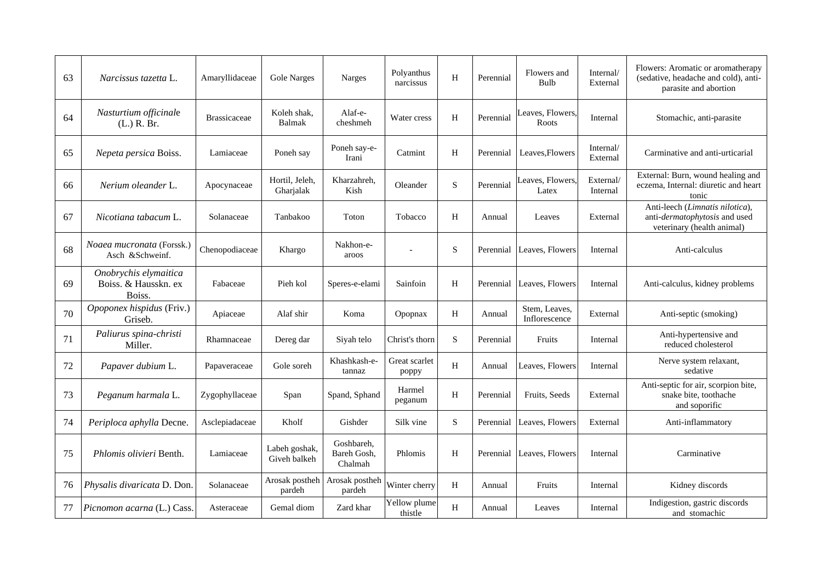| 63 | <i>Narcissus tazetta</i> L.                             | Amaryllidaceae      | Gole Narges                   | Narges                               | Polyanthus<br>narcissus | H | Perennial | Flowers and<br>Bulb            | Internal/<br>External | Flowers: Aromatic or aromatherapy<br>(sedative, headache and cold), anti-<br>parasite and abortion |
|----|---------------------------------------------------------|---------------------|-------------------------------|--------------------------------------|-------------------------|---|-----------|--------------------------------|-----------------------|----------------------------------------------------------------------------------------------------|
| 64 | Nasturtium officinale<br>$(L.)$ R. Br.                  | <b>Brassicaceae</b> | Koleh shak,<br><b>Balmak</b>  | Alaf-e-<br>cheshmeh                  | Water cress             | H | Perennial | Leaves, Flowers.<br>Roots      | Internal              | Stomachic, anti-parasite                                                                           |
| 65 | Nepeta persica Boiss.                                   | Lamiaceae           | Poneh say                     | Poneh say-e-<br>Irani                | Catmint                 | H | Perennial | Leaves, Flowers                | Internal/<br>External | Carminative and anti-urticarial                                                                    |
| 66 | Nerium oleander L.                                      | Apocynaceae         | Hortil, Jeleh,<br>Gharjalak   | Kharzahreh,<br>Kish                  | Oleander                | S | Perennial | Leaves, Flowers,<br>Latex      | External/<br>Internal | External: Burn, wound healing and<br>eczema, Internal: diuretic and heart<br>tonic                 |
| 67 | Nicotiana tabacum L.                                    | Solanaceae          | Tanbakoo                      | Toton                                | Tobacco                 | H | Annual    | Leaves                         | External              | Anti-leech (Limnatis nilotica),<br>anti-dermatophytosis and used<br>veterinary (health animal)     |
| 68 | <i>Noaea mucronata</i> (Forssk.)<br>Asch & Schweinf.    | Chenopodiaceae      | Khargo                        | Nakhon-e-<br>aroos                   |                         | S | Perennial | Leaves, Flowers                | Internal              | Anti-calculus                                                                                      |
| 69 | Onobrychis elymaitica<br>Boiss. & Hausskn. ex<br>Boiss. | Fabaceae            | Pieh kol                      | Speres-e-elami                       | Sainfoin                | H | Perennial | Leaves, Flowers                | Internal              | Anti-calculus, kidney problems                                                                     |
| 70 | Opoponex hispidus (Friv.)<br>Griseb.                    | Apiaceae            | Alaf shir                     | Koma                                 | Opopnax                 | H | Annual    | Stem, Leaves,<br>Inflorescence | External              | Anti-septic (smoking)                                                                              |
| 71 | Paliurus spina-christi<br>Miller.                       | Rhamnaceae          | Dereg dar                     | Siyah telo                           | Christ's thorn          | S | Perennial | Fruits                         | Internal              | Anti-hypertensive and<br>reduced cholesterol                                                       |
| 72 | Papaver dubium L.                                       | Papaveraceae        | Gole soreh                    | Khashkash-e-<br>tannaz               | Great scarlet<br>poppy  | H | Annual    | Leaves, Flowers                | Internal              | Nerve system relaxant,<br>sedative                                                                 |
| 73 | Peganum harmala L.                                      | Zygophyllaceae      | Span                          | Spand, Sphand                        | Harmel<br>peganum       | H | Perennial | Fruits, Seeds                  | External              | Anti-septic for air, scorpion bite,<br>snake bite, toothache<br>and soporific                      |
| 74 | Periploca aphylla Decne.                                | Asclepiadaceae      | Kholf                         | Gishder                              | Silk vine               | S | Perennial | Leaves, Flowers                | External              | Anti-inflammatory                                                                                  |
| 75 | Phlomis olivieri Benth.                                 | Lamiaceae           | Labeh goshak,<br>Giveh balkeh | Goshbareh.<br>Bareh Gosh,<br>Chalmah | Phlomis                 | H | Perennial | Leaves, Flowers                | Internal              | Carminative                                                                                        |
| 76 | Physalis divaricata D. Don.                             | Solanaceae          | Arosak postheh<br>pardeh      | Arosak postheh<br>pardeh             | Winter cherry           | H | Annual    | Fruits                         | Internal              | Kidney discords                                                                                    |
| 77 | Picnomon acarna (L.) Cass.                              | Asteraceae          | Gemal diom                    | Zard khar                            | Yellow plume<br>thistle | H | Annual    | Leaves                         | Internal              | Indigestion, gastric discords<br>and stomachic                                                     |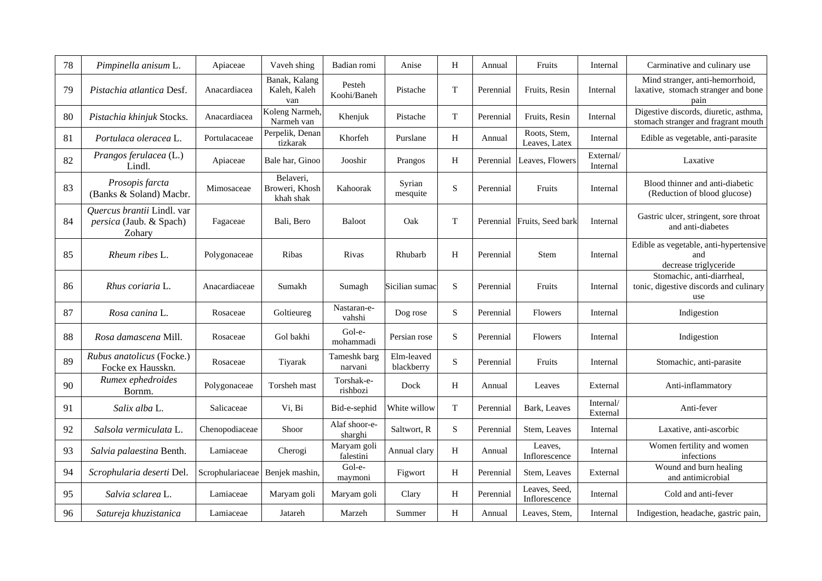| 78 | Pimpinella anisum L.                                            | Apiaceae         | Vaveh shing                              | Badian romi              | Anise                    | H           | Annual    | Fruits                         | Internal              | Carminative and culinary use                                                   |
|----|-----------------------------------------------------------------|------------------|------------------------------------------|--------------------------|--------------------------|-------------|-----------|--------------------------------|-----------------------|--------------------------------------------------------------------------------|
| 79 | <i>Pistachia atlantica Desf.</i>                                | Anacardiacea     | Banak, Kalang<br>Kaleh, Kaleh<br>van     | Pesteh<br>Koohi/Baneh    | Pistache                 | T           | Perennial | Fruits, Resin                  | Internal              | Mind stranger, anti-hemorrhoid,<br>laxative, stomach stranger and bone<br>pain |
| 80 | Pistachia khinjuk Stocks.                                       | Anacardiacea     | Koleng Narmeh,<br>Narmeh van             | Khenjuk                  | Pistache                 | T           | Perennial | Fruits, Resin                  | Internal              | Digestive discords, diuretic, asthma,<br>stomach stranger and fragrant mouth   |
| 81 | Portulaca oleracea L.                                           | Portulacaceae    | Perpelik, Denan<br>tizkarak              | Khorfeh                  | Purslane                 | H           | Annual    | Roots, Stem,<br>Leaves, Latex  | Internal              | Edible as vegetable, anti-parasite                                             |
| 82 | Prangos ferulacea (L.)<br>Lindl.                                | Apiaceae         | Bale har, Ginoo                          | Jooshir                  | Prangos                  | H           | Perennial | Leaves, Flowers                | External/<br>Internal | Laxative                                                                       |
| 83 | Prosopis farcta<br>(Banks & Soland) Macbr.                      | Mimosaceae       | Belaveri,<br>Broweri, Khosh<br>khah shak | Kahoorak                 | Syrian<br>mesquite       | S           | Perennial | Fruits                         | Internal              | Blood thinner and anti-diabetic<br>(Reduction of blood glucose)                |
| 84 | Quercus brantii Lindl. var<br>persica (Jaub. & Spach)<br>Zohary | Fagaceae         | Bali, Bero                               | <b>Baloot</b>            | Oak                      | $\mathbf T$ | Perennial | Fruits, Seed bark              | Internal              | Gastric ulcer, stringent, sore throat<br>and anti-diabetes                     |
| 85 | Rheum ribes L.                                                  | Polygonaceae     | Ribas                                    | Rivas                    | Rhubarb                  | H           | Perennial | Stem                           | Internal              | Edible as vegetable, anti-hypertensive<br>and<br>decrease triglyceride         |
| 86 | Rhus coriaria L.                                                | Anacardiaceae    | Sumakh                                   | Sumagh                   | Sicilian sumad           | S           | Perennial | Fruits                         | Internal              | Stomachic, anti-diarrheal,<br>tonic, digestive discords and culinary<br>use    |
| 87 | Rosa canina L.                                                  | Rosaceae         | Goltieureg                               | Nastaran-e-<br>vahshi    | Dog rose                 | S           | Perennial | <b>Flowers</b>                 | Internal              | Indigestion                                                                    |
| 88 | Rosa damascena Mill.                                            | Rosaceae         | Gol bakhi                                | Gol-e-<br>mohammadi      | Persian rose             | S           | Perennial | Flowers                        | Internal              | Indigestion                                                                    |
| 89 | Rubus anatolicus (Focke.)<br>Focke ex Hausskn.                  | Rosaceae         | Tiyarak                                  | Tameshk barg<br>narvani  | Elm-leaved<br>blackberry | S           | Perennial | Fruits                         | Internal              | Stomachic, anti-parasite                                                       |
| 90 | Rumex ephedroides<br>Bornm.                                     | Polygonaceae     | Torsheh mast                             | Torshak-e-<br>rishbozi   | Dock                     | H           | Annual    | Leaves                         | External              | Anti-inflammatory                                                              |
| 91 | Salix alba L.                                                   | Salicaceae       | Vi, Bi                                   | Bid-e-sephid             | White willow             | T           | Perennial | Bark, Leaves                   | Internal/<br>External | Anti-fever                                                                     |
| 92 | Salsola vermiculata L.                                          | Chenopodiaceae   | Shoor                                    | Alaf shoor-e-<br>sharghi | Saltwort, R              | S           | Perennial | Stem, Leaves                   | Internal              | Laxative, anti-ascorbic                                                        |
| 93 | Salvia palaestina Benth.                                        | Lamiaceae        | Cherogi                                  | Maryam goli<br>falestini | Annual clary             | H           | Annual    | Leaves,<br>Inflorescence       | Internal              | Women fertility and women<br>infections                                        |
| 94 | Scrophularia deserti Del.                                       | Scrophulariaceae | Benjek mashin,                           | Gol-e-<br>maymoni        | Figwort                  | H           | Perennial | Stem, Leaves                   | External              | Wound and burn healing<br>and antimicrobial                                    |
| 95 | Salvia sclarea L.                                               | Lamiaceae        | Maryam goli                              | Maryam goli              | Clary                    | H           | Perennial | Leaves, Seed,<br>Inflorescence | Internal              | Cold and anti-fever                                                            |
| 96 | Satureja khuzistanica                                           | Lamiaceae        | Jatareh                                  | Marzeh                   | Summer                   | H           | Annual    | Leaves, Stem,                  | Internal              | Indigestion, headache, gastric pain,                                           |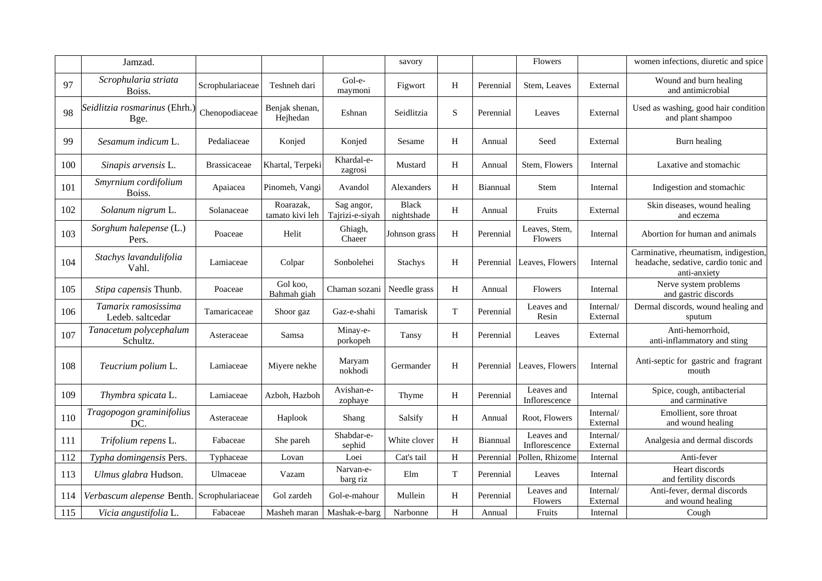|     | Jamzad.                                 |                     |                              |                               | savory                     |              |           | <b>Flowers</b>              |                       | women infections, diuretic and spice                                                          |
|-----|-----------------------------------------|---------------------|------------------------------|-------------------------------|----------------------------|--------------|-----------|-----------------------------|-----------------------|-----------------------------------------------------------------------------------------------|
| 97  | Scrophularia striata<br>Boiss.          | Scrophulariaceae    | Teshneh dari                 | Gol-e-<br>maymoni             | Figwort                    | H            | Perennial | Stem, Leaves                | External              | Wound and burn healing<br>and antimicrobial                                                   |
| 98  | Seidlitzia rosmarinus (Ehrh.)<br>Bge.   | Chenopodiaceae      | Benjak shenan,<br>Hejhedan   | Eshnan                        | Seidlitzia                 | S            | Perennial | Leaves                      | External              | Used as washing, good hair condition<br>and plant shampoo                                     |
| 99  | Sesamum indicum L.                      | Pedaliaceae         | Konjed                       | Konjed                        | Sesame                     | H            | Annual    | Seed                        | External              | Burn healing                                                                                  |
| 100 | Sinapis arvensis L.                     | <b>Brassicaceae</b> | Khartal, Terpeki             | Khardal-e-<br>zagrosi         | Mustard                    | H            | Annual    | Stem, Flowers               | Internal              | Laxative and stomachic                                                                        |
| 101 | Smyrnium cordifolium<br>Boiss.          | Apaiacea            | Pinomeh, Vangi               | Avandol                       | Alexanders                 | H            | Biannual  | Stem                        | Internal              | Indigestion and stomachic                                                                     |
| 102 | Solanum nigrum L.                       | Solanaceae          | Roarazak,<br>tamato kivi leh | Sag angor,<br>Tajrizi-e-siyah | <b>Black</b><br>nightshade | H            | Annual    | Fruits                      | External              | Skin diseases, wound healing<br>and eczema                                                    |
| 103 | Sorghum halepense (L.)<br>Pers.         | Poaceae             | Helit                        | Ghiagh,<br>Chaeer             | Johnson grass              | H            | Perennial | Leaves, Stem,<br>Flowers    | Internal              | Abortion for human and animals                                                                |
| 104 | Stachys lavandulifolia<br>Vahl.         | Lamiaceae           | Colpar                       | Sonbolehei                    | <b>Stachys</b>             | H            | Perennial | Leaves, Flowers             | Internal              | Carminative, rheumatism, indigestion,<br>headache, sedative, cardio tonic and<br>anti-anxiety |
| 105 | Stipa capensis Thunb.                   | Poaceae             | Gol koo,<br>Bahmah giah      | Chaman sozani                 | Needle grass               | H            | Annual    | <b>Flowers</b>              | Internal              | Nerve system problems<br>and gastric discords                                                 |
| 106 | Tamarix ramosissima<br>Ledeb. saltcedar | Tamaricaceae        | Shoor gaz                    | Gaz-e-shahi                   | Tamarisk                   | T            | Perennial | Leaves and<br>Resin         | Internal/<br>External | Dermal discords, wound healing and<br>sputum                                                  |
| 107 | Tanacetum polycephalum<br>Schultz.      | Asteraceae          | Samsa                        | Minay-e-<br>porkopeh          | Tansy                      | $\, {\rm H}$ | Perennial | Leaves                      | External              | Anti-hemorrhoid,<br>anti-inflammatory and sting                                               |
| 108 | Teucrium polium L.                      | Lamiaceae           | Miyere nekhe                 | Maryam<br>nokhodi             | Germander                  | H            | Perennial | Leaves, Flowers             | Internal              | Anti-septic for gastric and fragrant<br>mouth                                                 |
| 109 | Thymbra spicata L.                      | Lamiaceae           | Azboh, Hazboh                | Avishan-e-<br>zophaye         | Thyme                      | H            | Perennial | Leaves and<br>Inflorescence | Internal              | Spice, cough, antibacterial<br>and carminative                                                |
| 110 | Tragopogon graminifolius<br>DC.         | Asteraceae          | Haplook                      | Shang                         | Salsify                    | H            | Annual    | Root, Flowers               | Internal/<br>External | Emollient, sore throat<br>and wound healing                                                   |
| 111 | Trifolium repens L.                     | Fabaceae            | She pareh                    | Shabdar-e-<br>sephid          | White clover               | H            | Biannual  | Leaves and<br>Inflorescence | Internal/<br>External | Analgesia and dermal discords                                                                 |
| 112 | Typha domingensis Pers.                 | Typhaceae           | Lovan                        | Loei                          | Cat's tail                 | H            | Perennial | Pollen, Rhizome             | Internal              | Anti-fever                                                                                    |
| 113 | Ulmus glabra Hudson.                    | Ulmaceae            | Vazam                        | Narvan-e-<br>barg riz         | Elm                        | T            | Perennial | Leaves                      | Internal              | Heart discords<br>and fertility discords                                                      |
| 114 | Verbascum alepense Benth.               | Scrophulariaceae    | Gol zardeh                   | Gol-e-mahour                  | Mullein                    | H            | Perennial | Leaves and<br>Flowers       | Internal/<br>External | Anti-fever, dermal discords<br>and wound healing                                              |
| 115 | Vicia angustifolia L.                   | Fabaceae            | Masheh maran                 | Mashak-e-barg                 | Narbonne                   | H            | Annual    | Fruits                      | Internal              | Cough                                                                                         |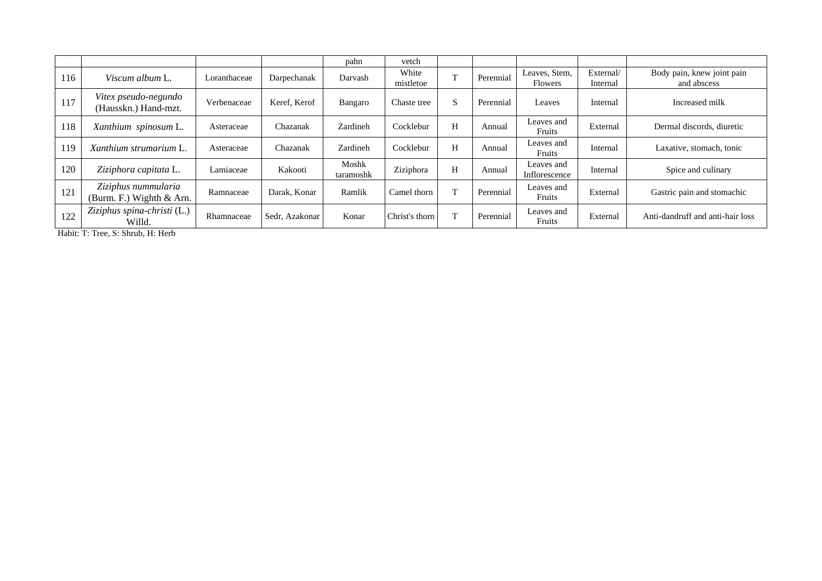|     |                                                 |              |                | pahn               | vetch              |              |           |                             |                       |                                           |
|-----|-------------------------------------------------|--------------|----------------|--------------------|--------------------|--------------|-----------|-----------------------------|-----------------------|-------------------------------------------|
| 116 | Viscum album L.                                 | Loranthaceae | Darpechanak    | Darvash            | White<br>mistletoe | m            | Perennial | Leaves, Stem,<br>Flowers    | External/<br>Internal | Body pain, knew joint pain<br>and abscess |
| 117 | Vitex pseudo-negundo<br>(Hausskn.) Hand-mzt.    | Verbenaceae  | Keref, Kerof   | Bangaro            | Chaste tree        | S            | Perennial | Leaves                      | Internal              | Increased milk                            |
| 118 | Xanthium spinosum L.                            | Asteraceae   | Chazanak       | Zardineh           | Cocklebur          | Η            | Annual    | Leaves and<br>Fruits        | External              | Dermal discords, diuretic                 |
| 119 | Xanthium strumarium L.                          | Asteraceae   | Chazanak       | Zardineh           | Cocklebur          | Н            | Annual    | Leaves and<br>Fruits        | Internal              | Laxative, stomach, tonic                  |
| 120 | Ziziphora capitata L.                           | Lamiaceae    | Kakooti        | Moshk<br>taramoshk | Ziziphora          | Η            | Annual    | Leaves and<br>Inflorescence | Internal              | Spice and culinary                        |
| 121 | Ziziphus nummularia<br>(Burm. F.) Wighth & Arn. | Ramnaceae    | Darak, Konar   | Ramlik             | Camel thorn        | m            | Perennial | Leaves and<br>Fruits        | External              | Gastric pain and stomachic                |
| 122 | Ziziphus spina-christi (L.)<br>Willd.           | Rhamnaceae   | Sedr, Azakonar | Konar              | Christ's thorn     | $\mathbf{r}$ | Perennial | Leaves and<br>Fruits        | External              | Anti-dandruff and anti-hair loss          |

Habit: T: Tree, S: Shrub, H: Herb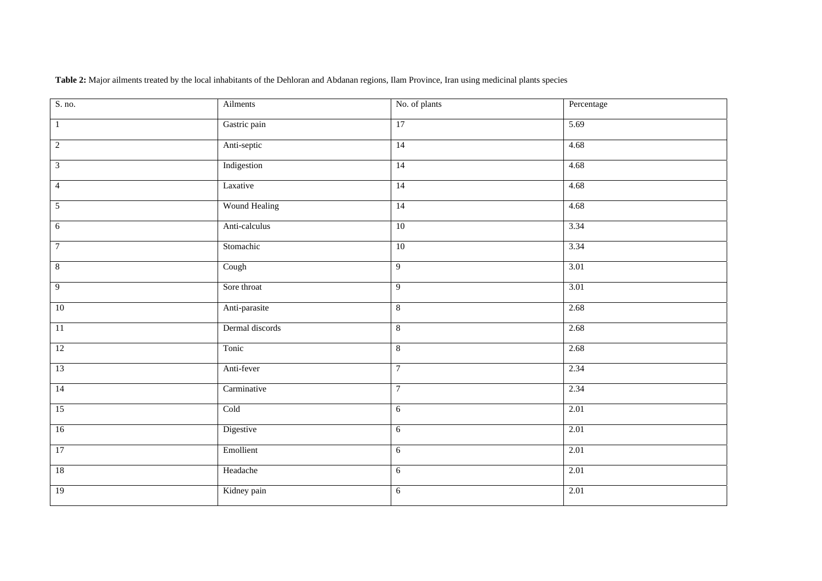| S. no.           | Ailments        | No. of plants  | Percentage |
|------------------|-----------------|----------------|------------|
| $\mathbf{1}$     | Gastric pain    | 17             | 5.69       |
| $\overline{2}$   | Anti-septic     | 14             | 4.68       |
| $\overline{3}$   | Indigestion     | 14             | 4.68       |
| $\overline{4}$   | Laxative        | 14             | 4.68       |
| $\overline{5}$   | Wound Healing   | 14             | 4.68       |
| $6\phantom{.}6$  | Anti-calculus   | 10             | 3.34       |
| $\boldsymbol{7}$ | Stomachic       | 10             | 3.34       |
| $\overline{8}$   | Cough           | $\overline{9}$ | 3.01       |
| $\overline{9}$   | Sore throat     | $\overline{9}$ | 3.01       |
| 10               | Anti-parasite   | $\overline{8}$ | 2.68       |
| 11               | Dermal discords | $\overline{8}$ | 2.68       |
| 12               | Tonic           | $\overline{8}$ | 2.68       |
| 13               | Anti-fever      | $\overline{7}$ | 2.34       |
| 14               | Carminative     | $\overline{7}$ | 2.34       |
| 15               | Cold            | 6              | 2.01       |
| 16               | Digestive       | $\sqrt{6}$     | 2.01       |
| 17               | Emollient       | 6              | 2.01       |
| 18               | Headache        | $\overline{6}$ | 2.01       |
| 19               | Kidney pain     | $6\,$          | 2.01       |

**Table 2:** Major ailments treated by the local inhabitants of the Dehloran and Abdanan regions, Ilam Province, Iran using medicinal plants species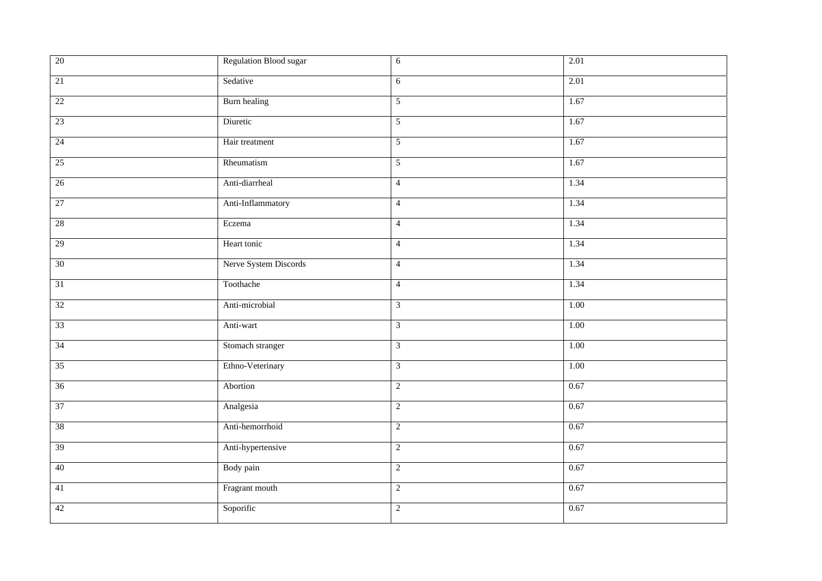| 20 | Regulation Blood sugar | $\overline{6}$ | 2.01 |
|----|------------------------|----------------|------|
| 21 | Sedative               | $\epsilon$     | 2.01 |
| 22 | Burn healing           | 5              | 1.67 |
| 23 | Diuretic               | $\overline{5}$ | 1.67 |
| 24 | Hair treatment         | $\overline{5}$ | 1.67 |
| 25 | Rheumatism             | $\overline{5}$ | 1.67 |
| 26 | Anti-diarrheal         | $\overline{4}$ | 1.34 |
| 27 | Anti-Inflammatory      | $\overline{4}$ | 1.34 |
| 28 | Eczema                 | $\overline{4}$ | 1.34 |
| 29 | Heart tonic            | $\overline{4}$ | 1.34 |
| 30 | Nerve System Discords  | $\overline{4}$ | 1.34 |
| 31 | Toothache              | $\overline{4}$ | 1.34 |
| 32 | Anti-microbial         | $\mathfrak{Z}$ | 1.00 |
| 33 | Anti-wart              | $\overline{3}$ | 1.00 |
| 34 | Stomach stranger       | $\overline{3}$ | 1.00 |
| 35 | Ethno-Veterinary       | $\overline{3}$ | 1.00 |
| 36 | Abortion               | $\overline{2}$ | 0.67 |
| 37 | Analgesia              | $\overline{c}$ | 0.67 |
| 38 | Anti-hemorrhoid        | $\overline{c}$ | 0.67 |
| 39 | Anti-hypertensive      | $\overline{2}$ | 0.67 |
| 40 | Body pain              | $\overline{2}$ | 0.67 |
| 41 | Fragrant mouth         | $\overline{2}$ | 0.67 |
| 42 | Soporific              | $\overline{2}$ | 0.67 |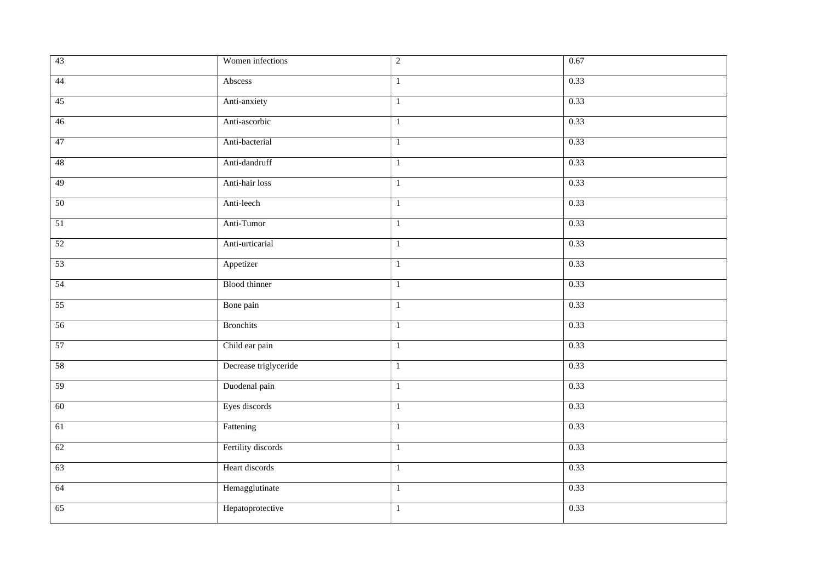| 43     | Women infections      | $\overline{2}$ | 0.67 |
|--------|-----------------------|----------------|------|
| 44     | Abscess               | $\mathbf{1}$   | 0.33 |
| 45     | Anti-anxiety          | $\mathbf{1}$   | 0.33 |
| 46     | Anti-ascorbic         | $\mathbf{1}$   | 0.33 |
| 47     | Anti-bacterial        | $\mathbf{1}$   | 0.33 |
| 48     | Anti-dandruff         | $\mathbf{1}$   | 0.33 |
| 49     | Anti-hair loss        | $\overline{1}$ | 0.33 |
| 50     | Anti-leech            | $\mathbf{1}$   | 0.33 |
| 51     | Anti-Tumor            | $\mathbf{1}$   | 0.33 |
| 52     | Anti-urticarial       | $\,1$          | 0.33 |
| 53     | Appetizer             | $\overline{1}$ | 0.33 |
| 54     | <b>Blood</b> thinner  | $\mathbf{1}$   | 0.33 |
| 55     | Bone pain             | $\,1\,$        | 0.33 |
| 56     | <b>Bronchits</b>      | $\mathbf{1}$   | 0.33 |
| 57     | Child ear pain        | $\overline{1}$ | 0.33 |
| 58     | Decrease triglyceride | $\mathbf{1}$   | 0.33 |
| 59     | Duodenal pain         | $\mathbf{1}$   | 0.33 |
| $60\,$ | Eyes discords         | $\,1$          | 0.33 |
| 61     | Fattening             | $\overline{1}$ | 0.33 |
| 62     | Fertility discords    | $\mathbf{1}$   | 0.33 |
| 63     | Heart discords        | $\mathbf{1}$   | 0.33 |
| 64     | Hemagglutinate        | $\mathbf{1}$   | 0.33 |
| 65     | Hepatoprotective      | $\overline{1}$ | 0.33 |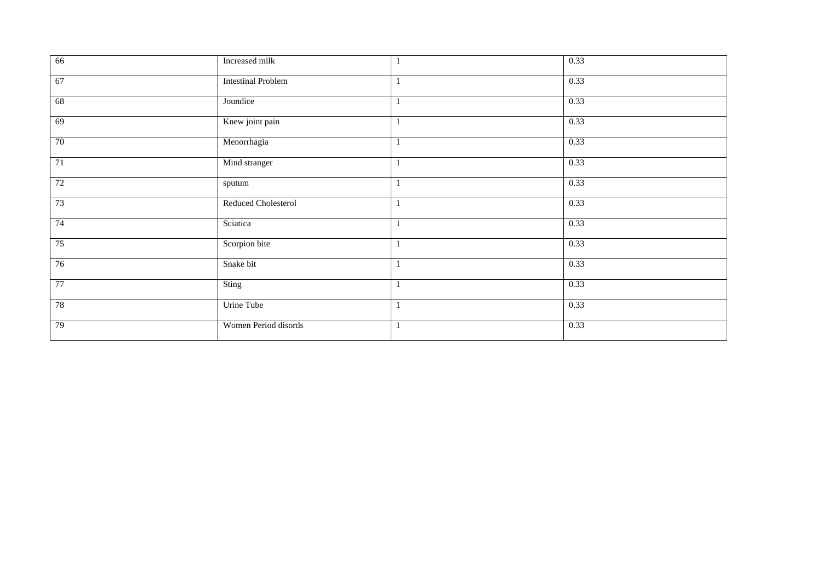| 66 | Increased milk            |              | 0.33 |
|----|---------------------------|--------------|------|
| 67 | <b>Intestinal Problem</b> |              | 0.33 |
| 68 | Joundice                  |              | 0.33 |
| 69 | Knew joint pain           | 1            | 0.33 |
| 70 | Menorrhagia               | ш            | 0.33 |
| 71 | Mind stranger             |              | 0.33 |
| 72 | sputum                    | $\mathbf{1}$ | 0.33 |
| 73 | Reduced Cholesterol       |              | 0.33 |
| 74 | Sciatica                  |              | 0.33 |
| 75 | Scorpion bite             |              | 0.33 |
| 76 | Snake bit                 |              | 0.33 |
| 77 | Sting                     |              | 0.33 |
| 78 | Urine Tube                | 1            | 0.33 |
| 79 | Women Period disords      |              | 0.33 |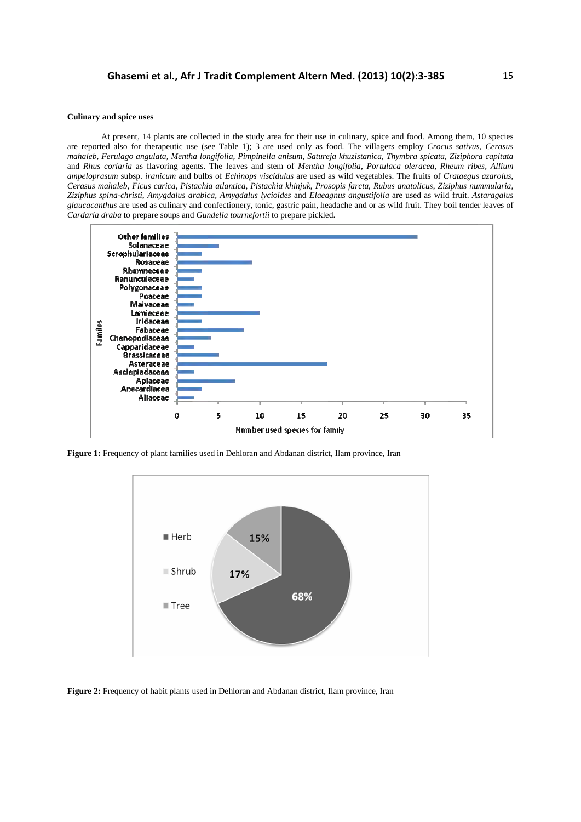#### **Culinary and spice uses**

At present, 14 plants are collected in the study area for their use in culinary, spice and food. Among them, 10 species are reported also for therapeutic use (see Table 1); 3 are used only as food. The villagers employ *Crocus sativus*, *Cerasus mahaleb, Ferulago angulata, Mentha longifolia, Pimpinella anisum, Satureja khuzistanica, Thymbra spicata, Ziziphora capitata* and *Rhus coriaria* as flavoring agents. The leaves and stem of *Mentha longifolia, Portulaca oleracea, Rheum ribes, Allium ampeloprasum* subsp. *iranicum* and bulbs of *Echinops viscidulus* are used as wild vegetables. The fruits of *Crataegus azarolus*, *Cerasus mahaleb*, *Ficus carica*, *Pistachia atlantica*, *Pistachia khinjuk*, *Prosopis farcta*, *Rubus anatolicus*, *Ziziphus nummularia, Ziziphus spina-christi*, *Amygdalus arabica, Amygdalus lycioides* and *Elaeagnus angustifolia* are used as wild fruit. *Astaragalus glaucacanthus* are used as culinary and confectionery, tonic, gastric pain, headache and or as wild fruit. They boil tender leaves of *Cardaria draba* to prepare soups and *Gundelia tournefortii* to prepare pickled.



**Figure 1:** Frequency of plant families used in Dehloran and Abdanan district, Ilam province, Iran



**Figure 2:** Frequency of habit plants used in Dehloran and Abdanan district, Ilam province, Iran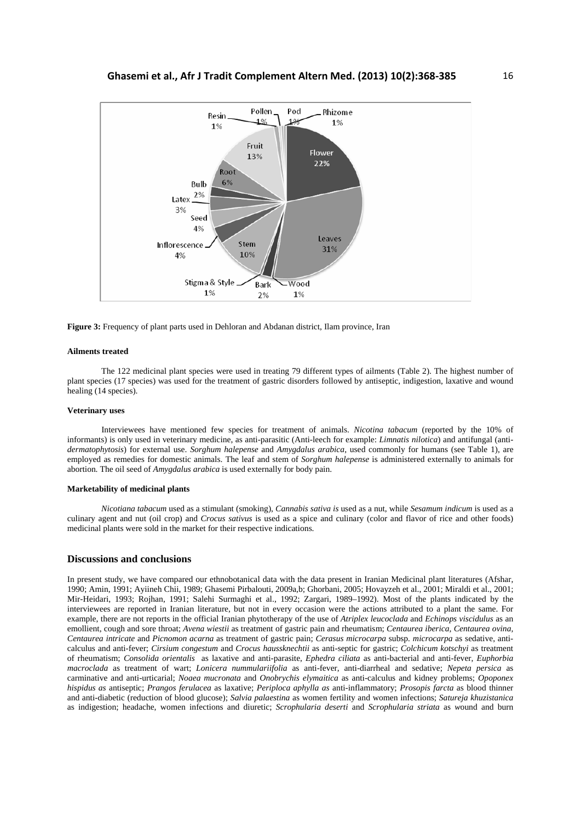



#### **Ailments treated**

The 122 medicinal plant species were used in treating 79 different types of ailments (Table 2). The highest number of plant species (17 species) was used for the treatment of gastric disorders followed by antiseptic, indigestion, laxative and wound healing (14 species).

#### **Veterinary uses**

Interviewees have mentioned few species for treatment of animals. *Nicotina tabacum* (reported by the 10% of informants) is only used in veterinary medicine, as anti-parasitic (Anti-leech for example: *Limnatis nilotica*) and antifungal (anti*dermatophytosis*) for external use. *Sorghum halepense* and *Amygdalus arabica*, used commonly for humans (see Table 1), are employed as remedies for domestic animals. The leaf and stem of *Sorghum halepense* is administered externally to animals for abortion. The oil seed of *Amygdalus arabica* is used externally for body pain.

#### **Marketability of medicinal plants**

*Nicotiana tabacum* used as a stimulant (smoking), *Cannabis sativa is* used as a nut, while *Sesamum indicum* is used as a culinary agent and nut (oil crop) and *Crocus sativus* is used as a spice and culinary (color and flavor of rice and other foods) medicinal plants were sold in the market for their respective indications.

#### **Discussions and conclusions**

In present study, we have compared our ethnobotanical data with the data present in Iranian Medicinal plant literatures (Afshar, 1990; Amin, 1991; Ayiineh Chii, 1989; Ghasemi Pirbalouti, 2009a,b; Ghorbani, 2005; Hovayzeh et al., 2001; Miraldi et al., 2001; Mir-Heidari, 1993; Rojhan, 1991; Salehi Surmaghi et al., 1992; Zargari, 1989–1992). Most of the plants indicated by the interviewees are reported in Iranian literature, but not in every occasion were the actions attributed to a plant the same. For example, there are not reports in the official Iranian phytotherapy of the use of *Atriplex leucoclada* and *Echinops viscidulus* as an emollient, cough and sore throat; *Avena wiestii* as treatment of gastric pain and rheumatism; *Centaurea iberica, Centaurea ovina, Centaurea intricate* and *Picnomon acarna* as treatment of gastric pain; *Cerasus microcarpa* subsp*. microcarpa* as sedative, anticalculus and anti-fever; *Cirsium congestum* and *Crocus haussknechtii* as anti-septic for gastric; *Colchicum kotschyi* as treatment of rheumatism; *Consolida orientalis* as laxative and anti-parasite, *Ephedra ciliata* as anti-bacterial and anti-fever, *Euphorbia macroclada* as treatment of wart; *Lonicera nummulariifolia* as anti-fever, anti-diarrheal and sedative; *Nepeta persica* as carminative and anti-urticarial; *Noaea mucronata* and *Onobrychis elymaitica* as anti-calculus and kidney problems; *Opoponex hispidus as* antiseptic; *Prangos ferulacea* as laxative; *Periploca aphylla as* anti-inflammatory; *Prosopis farcta* as blood thinner and anti-diabetic (reduction of blood glucose); *Salvia palaestina* as women fertility and women infections; *Satureja khuzistanica* as indigestion; headache, women infections and diuretic; *Scrophularia deserti* and *Scrophularia striata* as *w*ound and burn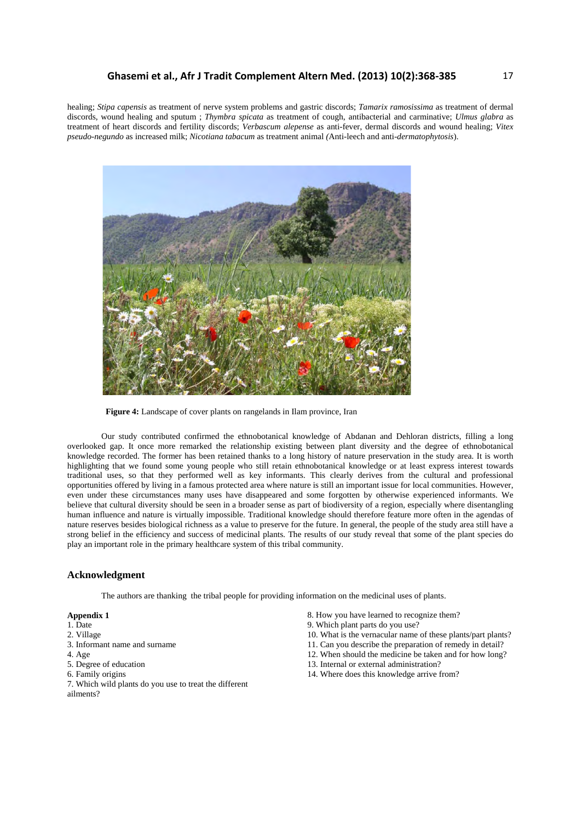healing; *Stipa capensis* as treatment of nerve system problems and gastric discords; *Tamarix ramosissima* as treatment of dermal discords, wound healing and sputum ; *Thymbra spicata* as treatment of cough, antibacterial and carminative; *Ulmus glabra* as treatment of heart discords and fertility discords; *Verbascum alepense* as anti-fever, dermal discords and wound healing; *Vitex pseudo-negundo* as increased milk; *Nicotiana tabacum* as treatment animal *(*Anti-leech and anti-*dermatophytosis*).



 **Figure 4:** Landscape of cover plants on rangelands in Ilam province, Iran

Our study contributed confirmed the ethnobotanical knowledge of Abdanan and Dehloran districts, filling a long overlooked gap. It once more remarked the relationship existing between plant diversity and the degree of ethnobotanical knowledge recorded. The former has been retained thanks to a long history of nature preservation in the study area. It is worth highlighting that we found some young people who still retain ethnobotanical knowledge or at least express interest towards traditional uses, so that they performed well as key informants. This clearly derives from the cultural and professional opportunities offered by living in a famous protected area where nature is still an important issue for local communities. However, even under these circumstances many uses have disappeared and some forgotten by otherwise experienced informants. We believe that cultural diversity should be seen in a broader sense as part of biodiversity of a region, especially where disentangling human influence and nature is virtually impossible. Traditional knowledge should therefore feature more often in the agendas of nature reserves besides biological richness as a value to preserve for the future. In general, the people of the study area still have a strong belief in the efficiency and success of medicinal plants. The results of our study reveal that some of the plant species do play an important role in the primary healthcare system of this tribal community.

## **Acknowledgment**

The authors are thanking the tribal people for providing information on the medicinal uses of plants.

#### **Appendix 1**

# 1. Date

- 2. Village
- 3. Informant name and surname
- 4. Age
- 5. Degree of education
- 6. Family origins
- 7. Which wild plants do you use to treat the different
- 8. How you have learned to recognize them? 9. Which plant parts do you use?
- 10. What is the vernacular name of these plants/part plants?
- 11. Can you describe the preparation of remedy in detail?
- 12. When should the medicine be taken and for how long?
- 13. Internal or external administration?
- 14. Where does this knowledge arrive from?

ailments?